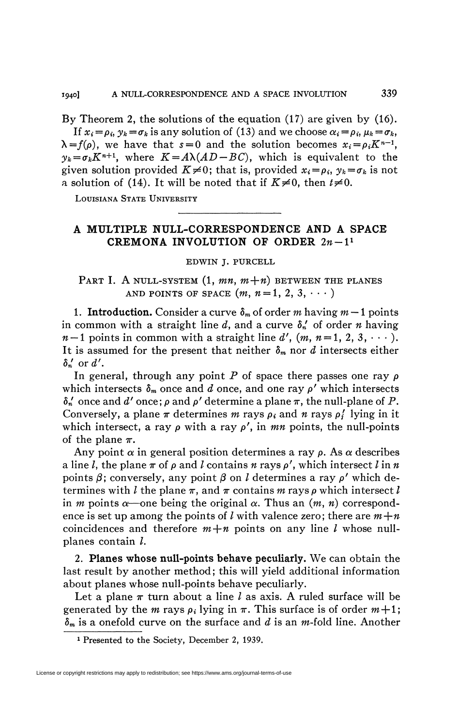By Theorem 2, the solutions of the equation (17) are given by (16). If  $x_i = \rho_i$ ,  $y_k = \sigma_k$  is any solution of (13) and we choose  $\alpha_i = \rho_i$ ,  $\mu_k = \sigma_k$ ,  $\lambda = f(\rho)$ , we have that  $s = 0$  and the solution becomes  $x_i = \rho_i K^{n-1}$ ,  $y_k = \sigma_k K^{n+1}$ , where  $K = A\lambda (AD - BC)$ , which is equivalent to the given solution provided  $K\neq 0$ ; that is, provided  $x_i = \rho_i$ ,  $y_k = \sigma_k$  is not a solution of (14). It will be noted that if  $K \neq 0$ , then  $t \neq 0$ .

**LOUISIANA STATE UNIVERSITY** 

## **A MULTIPLE NULL-CORRESPONDENCE AND A SPACE CREMONA INVOLUTION OF ORDER**  $2n-1$ <sup>1</sup>

**EDWIN J. PURCELL** 

PART I. A NULL-SYSTEM  $(1, mn, m+n)$  between the planes AND POINTS OF SPACE  $(m, n=1, 2, 3, \cdots)$ 

**1. Introduction.** Consider a curve  $\delta_m$  of order m having  $m-1$  points in common with a straight line  $d$ , and a curve  $\delta_n'$  of order *n* having  $n-1$  points in common with a straight line  $d'$ ,  $(m, n=1, 2, 3, \cdots)$ . It is assumed for the present that neither  $\delta_m$  nor *d* intersects either  $\delta_n'$  or  $d'$ .

In general, through any point  $P$  of space there passes one ray  $\rho$ which intersects  $\delta_m$  once and *d* once, and one ray  $\rho'$  which intersects  $\delta_n'$  once and *d'* once;  $\rho$  and  $\rho'$  determine a plane  $\pi$ , the null-plane of P. Conversely, a plane  $\pi$  determines *m* rays  $\rho_i$  and *n* rays  $\rho'_i$  lying in it which intersect, a ray  $\rho$  with a ray  $\rho'$ , in *mn* points, the null-points of the plane  $\pi$ .

Any point  $\alpha$  in general position determines a ray  $\rho$ . As  $\alpha$  describes a line *l*, the plane  $\pi$  of  $\rho$  and *l* contains  $n$  rays  $\rho'$ , which intersect *l* in  $n$ points  $\beta$ ; conversely, any point  $\beta$  on *l* determines a ray  $\rho'$  which determines with *l* the plane  $\pi$ , and  $\pi$  contains *m* rays  $\rho$  which intersect *l* in *m* points  $\alpha$ —one being the original  $\alpha$ . Thus an  $(m, n)$  correspondence is set up among the points of *l* with valence zero; there are  $m+n$ coincidences and therefore  $m+n$  points on any line *l* whose nullplanes contain /.

2. **Planes whose null-points behave peculiarly.** We can obtain the last result by another method ; this will yield additional information about planes whose null-points behave peculiarly.

Let a plane  $\pi$  turn about a line l as axis. A ruled surface will be generated by the *m* rays  $\rho_i$  lying in  $\pi$ . This surface is of order  $m+1$ ; *dm* is a onefold curve on the surface and *d* is an *m-îold* line. Another

**<sup>1</sup> Presented to the Society, December 2, 1939.**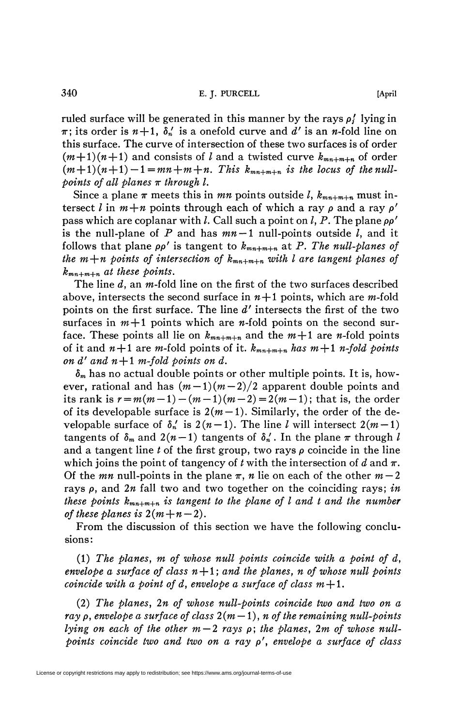ruled surface will be generated in this manner by the rays  $\rho_i$  lying in  $\pi$ ; its order is  $n+1$ ,  $\delta_n'$  is a onefold curve and d' is an n-fold line on this surface. The curve of intersection of these two surfaces is of order  $(m+1)(n+1)$  and consists of l and a twisted curve  $k_{mn+m+n}$  of order  $(m+1)(n+1)-1=mn+m+n$ . This  $k_{mn+m+n}$  is the locus of the null*points of all planes*  $\pi$  through *l*.

Since a plane  $\pi$  meets this in *mn* points outside *l*,  $k_{mn+m+n}$  must intersect l in  $m+n$  points through each of which a ray  $\rho$  and a ray  $\rho'$ pass which are coplanar with /. Call such a point on /, P. The plane *pp'*  is the null-plane of  $P$  and has  $mn-1$  null-points outside  $l$ , and it follows that plane  $\rho \rho'$  is tangent to  $k_{mn+m+n}$  at P. The null-planes of *the m+n points of intersection of*  $k_{mn+m+n}$  *with l are tangent planes of kmn+m+n at these points.* 

The line *d,* an w-fold line on the first of the two surfaces described above, intersects the second surface in  $n+1$  points, which are m-fold points on the first surface. The line *d'* intersects the first of the two surfaces in  $m+1$  points which are *n*-fold points on the second surface. These points all lie on  $k_{mn+m+n}$  and the  $m+1$  are *n*-fold points of it and  $n+1$  are m-fold points of it.  $k_{mn+m+n}$  has  $m+1$  n-fold points *on d'and n* $+1$  *m-fold points on d.* 

*ôm* has no actual double points or other multiple points. It is, however, rational and has  $(m-1)(m-2)/2$  apparent double points and its rank is  $r = m(m-1) - (m-1)(m-2) = 2(m-1)$ ; that is, the order of its developable surface is  $2(m-1)$ . Similarly, the order of the developable surface of  $\delta_n'$  is  $2(n-1)$ . The line *l* will intersect  $2(m-1)$ tangents of  $\delta_m$  and  $2(n-1)$  tangents of  $\delta'_n$ . In the plane  $\pi$  through l and a tangent line  $t$  of the first group, two rays  $\rho$  coincide in the line which joins the point of tangency of *t* with the intersection of *d* and  $\pi$ . Of the *mn* null-points in the plane  $\pi$ , *n* lie on each of the other  $m-2$ rays p, and *2n* fall two and two together on the coinciding rays; *in these points*  $k_{mn+m+n}$  *is tangent to the plane of l and t and the number of these planes is*  $2(m+n-2)$ .

From the discussion of this section we have the following conclusions:

 $(1)$  The planes, m of whose null points coincide with a point of  $d$ , *envelope a surface of class*  $n+1$ ; and the planes, n of whose null points *coincide with a point of d, envelope a surface of class*  $m+1$ *.* 

(2) *The planes, 2n of whose null-points coincide two and two on a ray*  $\rho$ , envelope a surface of class  $2(m-1)$ , *n* of the remaining null-points *lying on each of the other m — 2 rays* p; *the planes, 2m of whose nullpoints coincide two and two on a ray* p', *envelope a surface of class*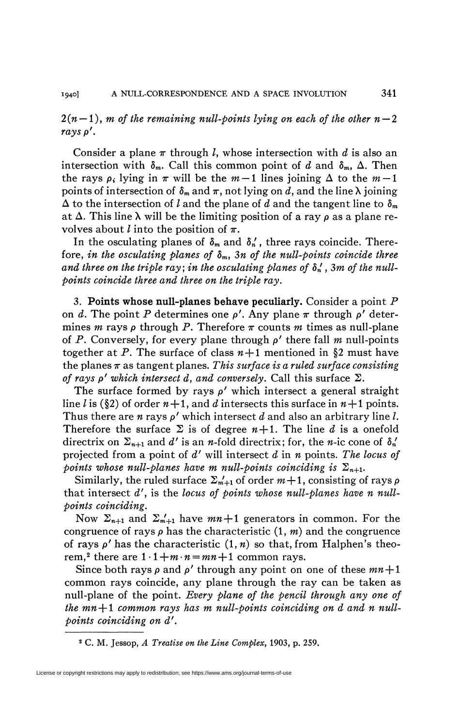$2(n-1)$ , *m* of the remaining null-points lying on each of the other  $n-2$ *rays p'.* 

Consider a plane  $\pi$  through *l*, whose intersection with *d* is also an intersection with  $\delta_m$ . Call this common point of d and  $\delta_m$ ,  $\Delta$ . Then the rays  $\rho_i$  lying in  $\pi$  will be the  $m-1$  lines joining  $\Delta$  to the  $m-1$ points of intersection of  $\delta_m$  and  $\pi$ , not lying on d, and the line  $\lambda$  joining  $\Delta$  to the intersection of l and the plane of d and the tangent line to  $\delta_m$ at  $\Delta$ . This line  $\lambda$  will be the limiting position of a ray  $\rho$  as a plane revolves about *l* into the position of  $\pi$ .

In the osculating planes of  $\delta_m$  and  $\delta'_n$ , three rays coincide. Therefore, *in the osculating planes of 8m, 3n of the null-points coincide three*  and three on the triple ray; in the osculating planes of  $\delta_n'$ , 3m of the null*points coincide three and three on the triple ray,* 

3. **Points whose null-planes behave peculiarly.** Consider a point P on *d*. The point *P* determines one  $\rho'$ . Any plane  $\pi$  through  $\rho'$  determines *m* rays  $\rho$  through *P*. Therefore  $\pi$  counts *m* times as null-plane of P. Conversely, for every plane through p' there fall *m* null-points together at P. The surface of class  $n+1$  mentioned in §2 must have the planes  $\pi$  as tangent planes. This surface is a ruled surface consisting *of rays*  $\rho'$  which intersect d, and conversely. Call this surface  $\Sigma$ .

The surface formed by rays  $\rho'$  which intersect a general straight line *l* is (§2) of order  $n+1$ , and *d* intersects this surface in  $n+1$  points. Thus there are  $n$  rays  $\rho'$  which intersect  $d$  and also an arbitrary line  $l$ . Therefore the surface  $\Sigma$  is of degree  $n+1$ . The line d is a onefold directrix on  $\Sigma_{n+1}$  and d' is an *n*-fold directrix; for, the *n*-ic cone of  $\delta_n'$ projected from a point of *d'* will intersect *d* in *n* points. *The locus of points whose null-planes have m null-points coinciding is*  $\Sigma_{n+1}$ .

Similarly, the ruled surface  $\Sigma_{m+1}$  of order  $m+1$ , consisting of rays  $\rho$ that intersect d', is the *locus of points whose null-planes have n nullpoints coinciding.* 

Now  $\Sigma_{n+1}$  and  $\Sigma_{m+1}$  have  $mn+1$  generators in common. For the congruence of rays  $\rho$  has the characteristic  $(1, m)$  and the congruence of rays  $\rho'$  has the characteristic  $(1, n)$  so that, from Halphen's theorem,<sup>2</sup> there are  $1 \cdot 1 + m \cdot n = mn + 1$  common rays.

Since both rays  $\rho$  and  $\rho'$  through any point on one of these  $mn+1$ common rays coincide, any plane through the ray can be taken as null-plane of the point. *Every plane of the pencil through any one of the mn + 1 common rays has m null-points coinciding on d and n nullpoints coinciding on d<sup>f</sup> .* 

<sup>2</sup> C. M. Jessop, *A Treatise on the Line Complex,* 1903, p. 259.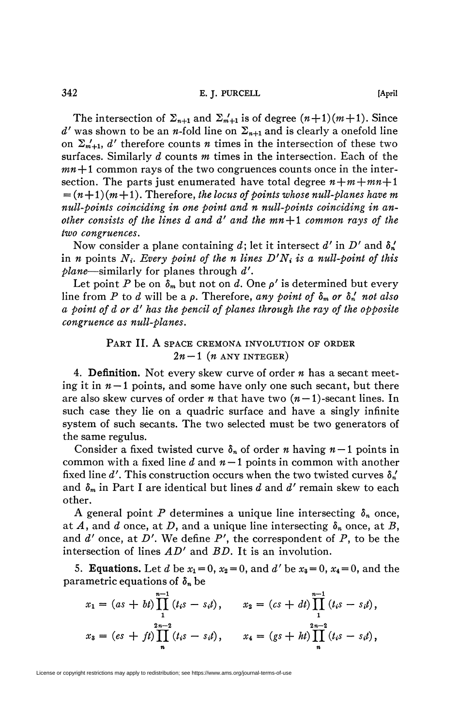The intersection of  $\Sigma_{n+1}$  and  $\Sigma_{m+1}$  is of degree  $(n+1)(m+1)$ . Since  $d'$  was shown to be an *n*-fold line on  $\Sigma_{n+1}$  and is clearly a onefold line on  $\Sigma_{m+1}$ , d' therefore counts *n* times in the intersection of these two surfaces. Similarly *d* counts *m* times in the intersection. Each of the  $mn+1$  common rays of the two congruences counts once in the intersection. The parts just enumerated have total degree  $n+m+m+1$  $=(n+1)(m+1)$ . Therefore, the locus of points whose null-planes have m *null-points coinciding in one point and n null-points coinciding in another consists of the lines d and d' and the mn + 1 common rays of the two congruences.* 

Now consider a plane containing d; let it intersect  $d'$  in  $D'$  and  $\delta_n'$ in *n* points  $N_i$ . Every point of the *n* lines  $D'N_i$  is a null-point of this *plane*—similarly for planes through *d'.* 

Let point P be on  $\delta_m$  but not on d. One  $\rho'$  is determined but every line from P to d will be a  $\rho$ . Therefore, any point of  $\delta_m$  or  $\delta'_n$  not also *a point of d or d' has the pencil of planes through the ray of the opposite congruence as null-planes.* 

## PART II. A SPACE CREMONA INVOLUTION OF ORDER  $2n - 1$  (*n* ANY INTEGER)

4. Definition. Not every skew curve of order *n* has a secant meeting it in  $n-1$  points, and some have only one such secant, but there are also skew curves of order *n* that have two  $(n-1)$ -secant lines. In such case they lie on a quadric surface and have a singly infinite system of such secants. The two selected must be two generators of the same regulus.

Consider a fixed twisted curve  $\delta_n$  of order *n* having  $n-1$  points in common with a fixed line  $d$  and  $n-1$  points in common with another fixed line d'. This construction occurs when the two twisted curves  $\delta_n'$ and *ôm* in Part I are identical but lines *d* and *d'* remain skew to each other.

A general point P determines a unique line intersecting  $\delta_n$  once, at *A,* and *d* once, at *D,* and a unique line intersecting *8n* once, at *B,*  and  $d'$  once, at  $D'$ . We define  $P'$ , the correspondent of  $P$ , to be the intersection of lines *AD'* and *BD.* It is an involution.

5. **Equations.** Let *d* be  $x_1 = 0$ ,  $x_2 = 0$ , and *d'* be  $x_3 = 0$ ,  $x_4 = 0$ , and the parametric equations of *5n* be

$$
x_1 = (as + bt) \prod_{1}^{n-1} (t_i s - s_i t), \qquad x_2 = (cs + dt) \prod_{1}^{n-1} (t_i s - s_i t),
$$
  

$$
x_3 = (es + ft) \prod_{n}^{2n-2} (t_i s - s_i t), \qquad x_4 = (gs + bt) \prod_{n}^{2n-2} (t_i s - s_i t),
$$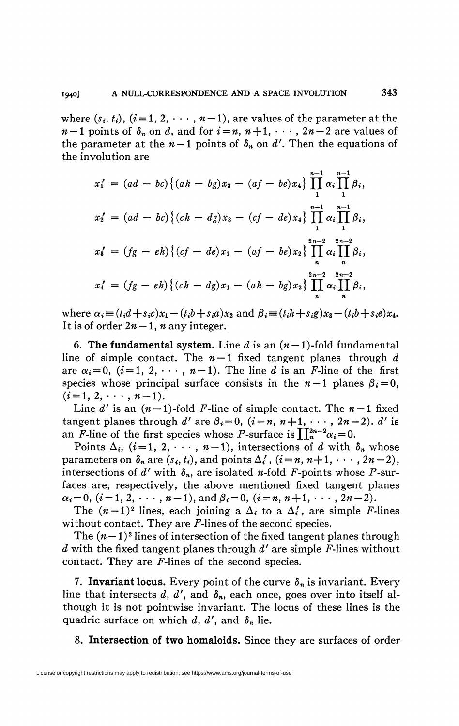where  $(s_i, t_i)$ ,  $(i = 1, 2, \dots, n-1)$ , are values of the parameter at the  $n-1$  points of  $\delta_n$  on  $d$ , and for  $i = n, n+1, \cdots, 2n-2$  are values of the parameter at the  $n-1$  points of  $\delta_n$  on  $d'$ . Then the equations of the involution are

$$
x'_1 = (ad - bc) \{ (ah - bg)x_3 - (af - be)x_4 \} \prod_{1}^{n-1} \alpha_i \prod_{1}^{n-1} \beta_i,
$$
  
\n
$$
x'_2 = (ad - bc) \{ (ch - dg)x_3 - (cf - de)x_4 \} \prod_{1}^{n-1} \alpha_i \prod_{1}^{n-1} \beta_i,
$$
  
\n
$$
x'_3 = (fg - eh) \{ (cf - de)x_1 - (af - be)x_2 \} \prod_{n}^{2n-2} \alpha_i \prod_{n}^{2n-2} \beta_i,
$$
  
\n
$$
x'_4 = (fg - eh) \{ (ch - dg)x_1 - (ah - bg)x_2 \} \prod_{n}^{2n-2} \alpha_i \prod_{n}^{2n-2} \beta_i,
$$

where  $\alpha_i = (t_i d + s_i c)x_1 - (t_i b + s_i a)x_2$  and  $\beta_i = (t_i h + s_i g)x_3 - (t_i b + s_i e)x_4$ . It is of order  $2n-1$ , *n* any integer.

6. The fundamental system. Line  $d$  is an  $(n-1)$ -fold fundamental line of simple contact. The  $n-1$  fixed tangent planes through  $d$ are  $\alpha_i = 0$ ,  $(i = 1, 2, \dots, n-1)$ . The line d is an *F*-line of the first species whose principal surface consists in the  $n-1$  planes  $\beta_i=0$ ,  $(i = 1, 2, \cdots, n-1).$ 

Line  $d'$  is an  $(n-1)$ -fold F-line of simple contact. The  $n-1$  fixed tangent planes through d' are  $\beta_i = 0$ ,  $(i = n, n+1, \dots, 2n-2)$ . d' is an *F*-line of the first species whose *P*-surface is  $\prod_{n=1}^{2n-2} \alpha_i = 0$ .

Points  $\Delta_i$ ,  $(i=1, 2, \dots, n-1)$ , intersections of *d* with  $\delta_n$  whose parameters on  $\delta_n$  are  $(s_i, t_i)$ , and points  $\Delta'_i$ ,  $(i = n, n+1, \dots, 2n-2)$ , intersections of d' with  $\delta_n$ , are isolated n-fold F-points whose P-surfaces are, respectively, the above mentioned fixed tangent planes  $\alpha_i = 0$ ,  $(i = 1, 2, \cdots, n-1)$ , and  $\beta_i = 0$ ,  $(i = n, n+1, \cdots, 2n-2)$ .

The  $(n-1)^2$  lines, each joining a  $\Delta_i$  to a  $\Delta'_i$ , are simple *F*-lines without contact. They are  $F$ -lines of the second species.

The  $(n-1)^2$  lines of intersection of the fixed tangent planes through *d* with the fixed tangent planes through *d'* are simple P-lines without contact. They are  $F$ -lines of the second species.

7. **Invariant locus.** Every point of the curve  $\delta_n$  is invariant. Every line that intersects  $d$ ,  $d'$ , and  $\delta_n$ , each once, goes over into itself although it is not pointwise invariant. The locus of these lines is the quadric surface on which *d, d',* and *8n* lie.

8. **Intersection of two homaloids.** Since they are surfaces of order